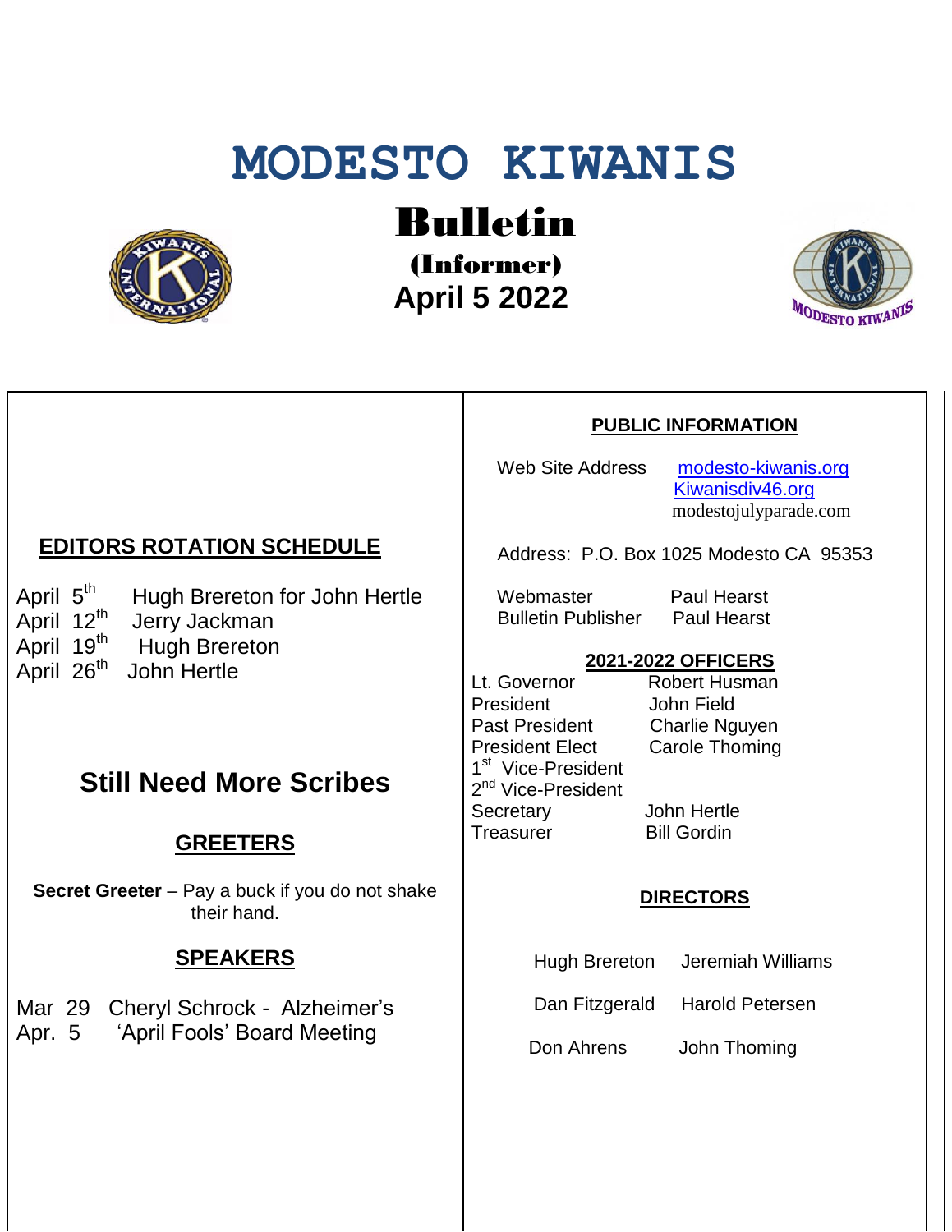# **MODESTO KIWANIS**



Bulletin

(Informer)  **April 5 2022**



#### **PUBLIC INFORMATION**

Web Site Address [modesto-kiwanis.org](http://modesto-kiwanis.org/) [Kiwanisdiv46.org](http://www.kiwanisdiv46.org/) modestojulyparade.com

Address: P.O. Box 1025 Modesto CA 95353

Webmaster Paul Hearst Bulletin Publisher Paul Hearst

#### **2021-2022 OFFICERS**

Lt. Governor Robert Husman President John Field<br>Past President Charlie Ng President Elect Carole Thoming 1<sup>st</sup> Vice-President 2<sup>nd</sup> Vice-President Secretary John Hertle Treasurer Bill Gordin

Charlie Nguyen

#### **DIRECTORS**

Hugh Brereton Jeremiah Williams

Dan Fitzgerald Harold Petersen

Don Ahrens John Thoming

### **EDITORS ROTATION SCHEDULE**

April 5<sup>th</sup> Hugh Brereton for John Hertle April 12<sup>th</sup> Jerry Jackman April  $19^{th}$  Hugh Brereton April 26<sup>th</sup> John Hertle

# **Still Need More Scribes**

## **GREETERS**

**Secret Greeter** – Pay a buck if you do not shake their hand.

#### **SPEAKERS**

Mar 29 Cheryl Schrock - Alzheimer's Apr. 5 'April Fools' Board Meeting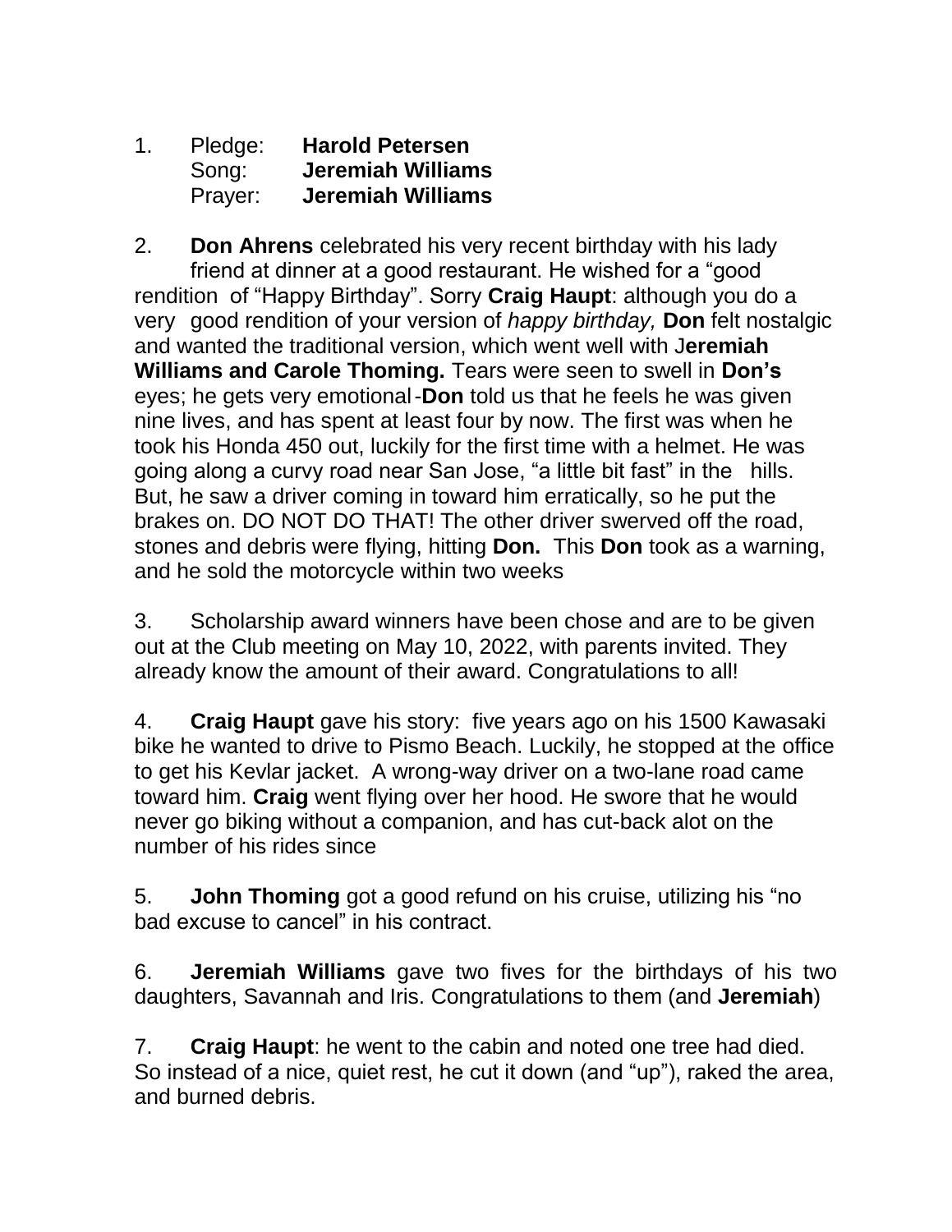1. Pledge: **Harold Petersen** Song: **Jeremiah Williams** Prayer: **Jeremiah Williams**

2. **Don Ahrens** celebrated his very recent birthday with his lady friend at dinner at a good restaurant. He wished for a "good rendition of "Happy Birthday". Sorry **Craig Haupt**: although you do a very good rendition of your version of *happy birthday,* **Don** felt nostalgic and wanted the traditional version, which went well with J**eremiah Williams and Carole Thoming.** Tears were seen to swell in **Don's** eyes; he gets very emotional-**Don** told us that he feels he was given nine lives, and has spent at least four by now. The first was when he took his Honda 450 out, luckily for the first time with a helmet. He was going along a curvy road near San Jose, "a little bit fast" in the hills. But, he saw a driver coming in toward him erratically, so he put the brakes on. DO NOT DO THAT! The other driver swerved off the road, stones and debris were flying, hitting **Don.** This **Don** took as a warning, and he sold the motorcycle within two weeks

3. Scholarship award winners have been chose and are to be given out at the Club meeting on May 10, 2022, with parents invited. They already know the amount of their award. Congratulations to all!

4. **Craig Haupt** gave his story: five years ago on his 1500 Kawasaki bike he wanted to drive to Pismo Beach. Luckily, he stopped at the office to get his Kevlar jacket. A wrong-way driver on a two-lane road came toward him. **Craig** went flying over her hood. He swore that he would never go biking without a companion, and has cut-back alot on the number of his rides since

5. **John Thoming** got a good refund on his cruise, utilizing his "no bad excuse to cancel" in his contract.

6. **Jeremiah Williams** gave two fives for the birthdays of his two daughters, Savannah and Iris. Congratulations to them (and **Jeremiah**)

7. **Craig Haupt**: he went to the cabin and noted one tree had died. So instead of a nice, quiet rest, he cut it down (and "up"), raked the area, and burned debris.